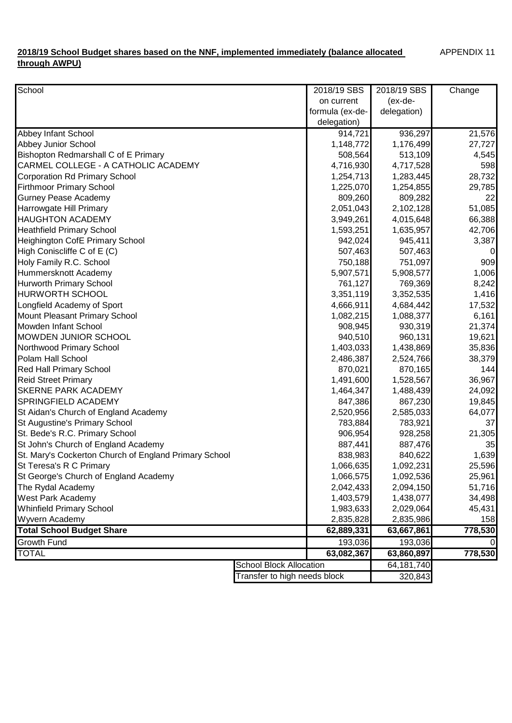## **2018/19 School Budget shares based on the NNF, implemented immediately (balance allocated through AWPU)**

| School                                                |                                | 2018/19 SBS     | 2018/19 SBS  | Change  |
|-------------------------------------------------------|--------------------------------|-----------------|--------------|---------|
|                                                       |                                | on current      | $(ex-de-$    |         |
|                                                       |                                | formula (ex-de- | delegation)  |         |
|                                                       |                                | delegation)     |              |         |
| Abbey Infant School                                   |                                | 914,721         | 936,297      | 21,576  |
| Abbey Junior School                                   |                                | 1,148,772       | 1,176,499    | 27,727  |
| Bishopton Redmarshall C of E Primary                  |                                | 508,564         | 513,109      | 4,545   |
| CARMEL COLLEGE - A CATHOLIC ACADEMY                   |                                | 4,716,930       | 4,717,528    | 598     |
| <b>Corporation Rd Primary School</b>                  |                                | 1,254,713       | 1,283,445    | 28,732  |
| <b>Firthmoor Primary School</b>                       |                                | 1,225,070       | 1,254,855    | 29,785  |
| <b>Gurney Pease Academy</b>                           |                                | 809,260         | 809,282      | 22      |
| Harrowgate Hill Primary                               |                                | 2,051,043       | 2,102,128    | 51,085  |
| <b>HAUGHTON ACADEMY</b>                               |                                | 3,949,261       | 4,015,648    | 66,388  |
| <b>Heathfield Primary School</b>                      |                                | 1,593,251       | 1,635,957    | 42,706  |
| Heighington CofE Primary School                       |                                | 942,024         | 945,411      | 3,387   |
| High Coniscliffe C of E (C)                           |                                | 507,463         | 507,463      | 0       |
| Holy Family R.C. School                               |                                | 750,188         | 751,097      | 909     |
| Hummersknott Academy                                  |                                | 5,907,571       | 5,908,577    | 1,006   |
| Hurworth Primary School                               |                                | 761,127         | 769,369      | 8,242   |
| <b>HURWORTH SCHOOL</b>                                |                                | 3,351,119       | 3,352,535    | 1,416   |
| Longfield Academy of Sport                            |                                | 4,666,911       | 4,684,442    | 17,532  |
| Mount Pleasant Primary School                         |                                | 1,082,215       | 1,088,377    | 6,161   |
| Mowden Infant School                                  |                                | 908,945         | 930,319      | 21,374  |
| MOWDEN JUNIOR SCHOOL                                  |                                | 940,510         | 960,131      | 19,621  |
| Northwood Primary School                              |                                | 1,403,033       | 1,438,869    | 35,836  |
| Polam Hall School                                     |                                | 2,486,387       | 2,524,766    | 38,379  |
| <b>Red Hall Primary School</b>                        |                                | 870,021         | 870,165      | 144     |
| <b>Reid Street Primary</b>                            |                                | 1,491,600       | 1,528,567    | 36,967  |
| <b>SKERNE PARK ACADEMY</b>                            |                                | 1,464,347       | 1,488,439    | 24,092  |
| SPRINGFIELD ACADEMY                                   |                                | 847,386         | 867,230      | 19,845  |
| St Aidan's Church of England Academy                  |                                | 2,520,956       | 2,585,033    | 64,077  |
| St Augustine's Primary School                         |                                | 783,884         | 783,921      | 37      |
| St. Bede's R.C. Primary School                        |                                | 906,954         | 928,258      | 21,305  |
| St John's Church of England Academy                   |                                | 887,441         | 887,476      | 35      |
| St. Mary's Cockerton Church of England Primary School |                                | 838,983         | 840,622      | 1,639   |
| St Teresa's R C Primary                               |                                | 1,066,635       | 1,092,231    | 25,596  |
| St George's Church of England Academy                 |                                | 1,066,575       | 1,092,536    | 25,961  |
| The Rydal Academy                                     |                                | 2,042,433       | 2,094,150    | 51,716  |
| West Park Academy                                     |                                | 1,403,579       | 1,438,077    | 34,498  |
| <b>Whinfield Primary School</b>                       |                                | 1,983,633       | 2,029,064    | 45,431  |
| Wyvern Academy                                        |                                | 2,835,828       | 2,835,986    | 158     |
| <b>Total School Budget Share</b>                      |                                | 62,889,331      | 63,667,861   | 778,530 |
| <b>Growth Fund</b>                                    |                                | 193,036         | 193,036      |         |
| <b>TOTAL</b>                                          |                                | 63,082,367      | 63,860,897   | 778,530 |
|                                                       | <b>School Block Allocation</b> |                 | 64, 181, 740 |         |
|                                                       | Transfer to high needs block   |                 | 320,843      |         |